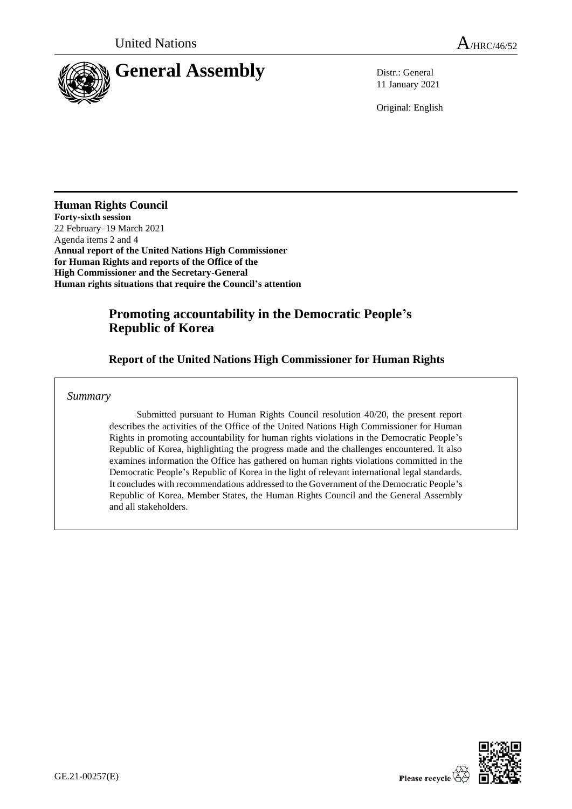

11 January 2021

Original: English

**Human Rights Council Forty-sixth session** 22 February–19 March 2021 Agenda items 2 and 4 **Annual report of the United Nations High Commissioner for Human Rights and reports of the Office of the High Commissioner and the Secretary-General Human rights situations that require the Council's attention**

# **Promoting accountability in the Democratic People's Republic of Korea**

# **Report of the United Nations High Commissioner for Human Rights**

### *Summary*

Submitted pursuant to Human Rights Council resolution 40/20, the present report describes the activities of the Office of the United Nations High Commissioner for Human Rights in promoting accountability for human rights violations in the Democratic People's Republic of Korea, highlighting the progress made and the challenges encountered. It also examines information the Office has gathered on human rights violations committed in the Democratic People's Republic of Korea in the light of relevant international legal standards. It concludes with recommendations addressed to the Government of the Democratic People's Republic of Korea, Member States, the Human Rights Council and the General Assembly and all stakeholders.

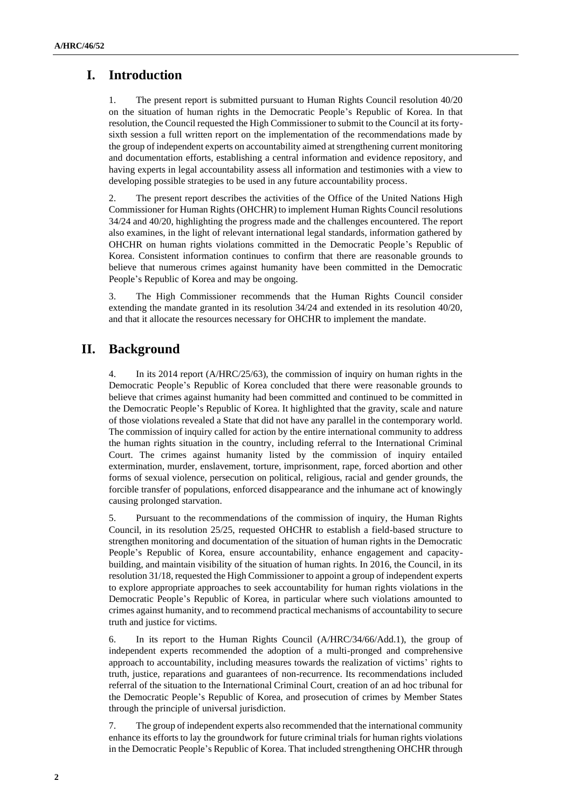# **I. Introduction**

1. The present report is submitted pursuant to Human Rights Council resolution 40/20 on the situation of human rights in the Democratic People's Republic of Korea. In that resolution, the Council requested the High Commissioner to submit to the Council at its fortysixth session a full written report on the implementation of the recommendations made by the group of independent experts on accountability aimed at strengthening current monitoring and documentation efforts, establishing a central information and evidence repository, and having experts in legal accountability assess all information and testimonies with a view to developing possible strategies to be used in any future accountability process.

2. The present report describes the activities of the Office of the United Nations High Commissioner for Human Rights (OHCHR) to implement Human Rights Council resolutions 34/24 and 40/20, highlighting the progress made and the challenges encountered. The report also examines, in the light of relevant international legal standards, information gathered by OHCHR on human rights violations committed in the Democratic People's Republic of Korea. Consistent information continues to confirm that there are reasonable grounds to believe that numerous crimes against humanity have been committed in the Democratic People's Republic of Korea and may be ongoing.

3. The High Commissioner recommends that the Human Rights Council consider extending the mandate granted in its resolution 34/24 and extended in its resolution 40/20, and that it allocate the resources necessary for OHCHR to implement the mandate.

## **II. Background**

4. In its 2014 report (A/HRC/25/63), the commission of inquiry on human rights in the Democratic People's Republic of Korea concluded that there were reasonable grounds to believe that crimes against humanity had been committed and continued to be committed in the Democratic People's Republic of Korea. It highlighted that the gravity, scale and nature of those violations revealed a State that did not have any parallel in the contemporary world. The commission of inquiry called for action by the entire international community to address the human rights situation in the country, including referral to the International Criminal Court. The crimes against humanity listed by the commission of inquiry entailed extermination, murder, enslavement, torture, imprisonment, rape, forced abortion and other forms of sexual violence, persecution on political, religious, racial and gender grounds, the forcible transfer of populations, enforced disappearance and the inhumane act of knowingly causing prolonged starvation.

5. Pursuant to the recommendations of the commission of inquiry, the Human Rights Council, in its resolution 25/25, requested OHCHR to establish a field-based structure to strengthen monitoring and documentation of the situation of human rights in the Democratic People's Republic of Korea, ensure accountability, enhance engagement and capacitybuilding, and maintain visibility of the situation of human rights. In 2016, the Council, in its resolution 31/18, requested the High Commissioner to appoint a group of independent experts to explore appropriate approaches to seek accountability for human rights violations in the Democratic People's Republic of Korea, in particular where such violations amounted to crimes against humanity, and to recommend practical mechanisms of accountability to secure truth and justice for victims.

6. In its report to the Human Rights Council (A/HRC/34/66/Add.1), the group of independent experts recommended the adoption of a multi-pronged and comprehensive approach to accountability, including measures towards the realization of victims' rights to truth, justice, reparations and guarantees of non-recurrence. Its recommendations included referral of the situation to the International Criminal Court, creation of an ad hoc tribunal for the Democratic People's Republic of Korea, and prosecution of crimes by Member States through the principle of universal jurisdiction.

7. The group of independent experts also recommended that the international community enhance its efforts to lay the groundwork for future criminal trials for human rights violations in the Democratic People's Republic of Korea. That included strengthening OHCHR through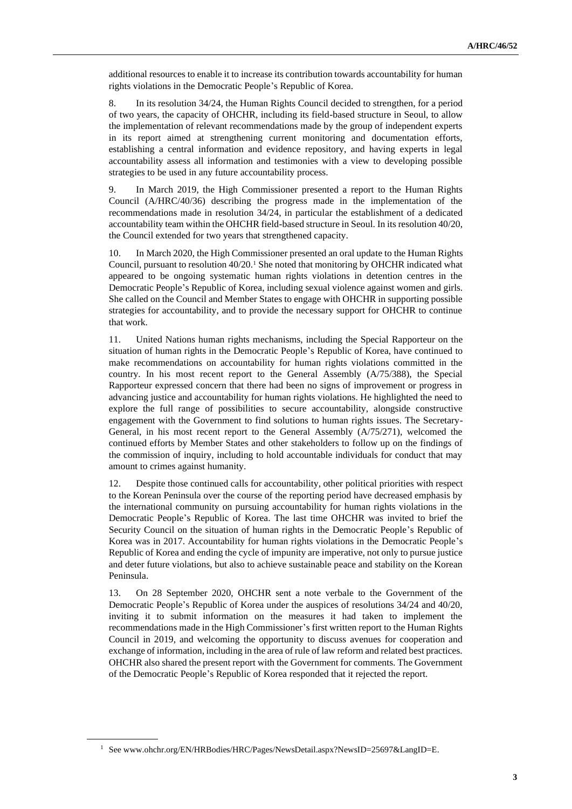additional resources to enable it to increase its contribution towards accountability for human rights violations in the Democratic People's Republic of Korea.

8. In its resolution 34/24, the Human Rights Council decided to strengthen, for a period of two years, the capacity of OHCHR, including its field-based structure in Seoul, to allow the implementation of relevant recommendations made by the group of independent experts in its report aimed at strengthening current monitoring and documentation efforts, establishing a central information and evidence repository, and having experts in legal accountability assess all information and testimonies with a view to developing possible strategies to be used in any future accountability process.

9. In March 2019, the High Commissioner presented a report to the Human Rights Council (A/HRC/40/36) describing the progress made in the implementation of the recommendations made in resolution 34/24, in particular the establishment of a dedicated accountability team within the OHCHR field-based structure in Seoul. In its resolution 40/20, the Council extended for two years that strengthened capacity.

10. In March 2020, the High Commissioner presented an oral update to the Human Rights Council, pursuant to resolution 40/20.<sup>1</sup> She noted that monitoring by OHCHR indicated what appeared to be ongoing systematic human rights violations in detention centres in the Democratic People's Republic of Korea, including sexual violence against women and girls. She called on the Council and Member States to engage with OHCHR in supporting possible strategies for accountability, and to provide the necessary support for OHCHR to continue that work.

11. United Nations human rights mechanisms, including the Special Rapporteur on the situation of human rights in the Democratic People's Republic of Korea, have continued to make recommendations on accountability for human rights violations committed in the country. In his most recent report to the General Assembly (A/75/388), the Special Rapporteur expressed concern that there had been no signs of improvement or progress in advancing justice and accountability for human rights violations. He highlighted the need to explore the full range of possibilities to secure accountability, alongside constructive engagement with the Government to find solutions to human rights issues. The Secretary-General, in his most recent report to the General Assembly (A/75/271), welcomed the continued efforts by Member States and other stakeholders to follow up on the findings of the commission of inquiry, including to hold accountable individuals for conduct that may amount to crimes against humanity.

12. Despite those continued calls for accountability, other political priorities with respect to the Korean Peninsula over the course of the reporting period have decreased emphasis by the international community on pursuing accountability for human rights violations in the Democratic People's Republic of Korea. The last time OHCHR was invited to brief the Security Council on the situation of human rights in the Democratic People's Republic of Korea was in 2017. Accountability for human rights violations in the Democratic People's Republic of Korea and ending the cycle of impunity are imperative, not only to pursue justice and deter future violations, but also to achieve sustainable peace and stability on the Korean Peninsula.

13. On 28 September 2020, OHCHR sent a note verbale to the Government of the Democratic People's Republic of Korea under the auspices of resolutions 34/24 and 40/20, inviting it to submit information on the measures it had taken to implement the recommendations made in the High Commissioner's first written report to the Human Rights Council in 2019, and welcoming the opportunity to discuss avenues for cooperation and exchange of information, including in the area of rule of law reform and related best practices. OHCHR also shared the present report with the Government for comments. The Government of the Democratic People's Republic of Korea responded that it rejected the report.

<sup>1</sup> See www.ohchr.org/EN/HRBodies/HRC/Pages/NewsDetail.aspx?NewsID=25697&LangID=E.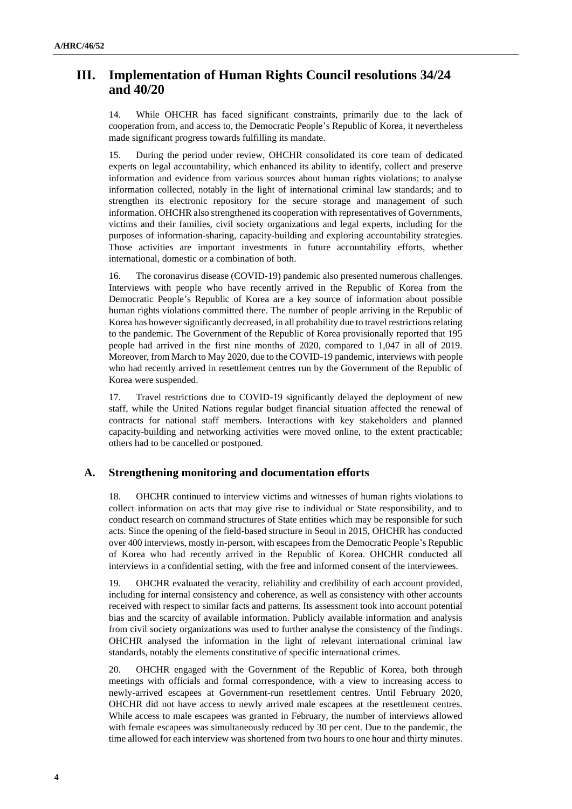## **III. Implementation of Human Rights Council resolutions 34/24 and 40/20**

14. While OHCHR has faced significant constraints, primarily due to the lack of cooperation from, and access to, the Democratic People's Republic of Korea, it nevertheless made significant progress towards fulfilling its mandate.

15. During the period under review, OHCHR consolidated its core team of dedicated experts on legal accountability, which enhanced its ability to identify, collect and preserve information and evidence from various sources about human rights violations; to analyse information collected, notably in the light of international criminal law standards; and to strengthen its electronic repository for the secure storage and management of such information. OHCHR also strengthened its cooperation with representatives of Governments, victims and their families, civil society organizations and legal experts, including for the purposes of information-sharing, capacity-building and exploring accountability strategies. Those activities are important investments in future accountability efforts, whether international, domestic or a combination of both.

16. The coronavirus disease (COVID-19) pandemic also presented numerous challenges. Interviews with people who have recently arrived in the Republic of Korea from the Democratic People's Republic of Korea are a key source of information about possible human rights violations committed there. The number of people arriving in the Republic of Korea has however significantly decreased, in all probability due to travel restrictions relating to the pandemic. The Government of the Republic of Korea provisionally reported that 195 people had arrived in the first nine months of 2020, compared to 1,047 in all of 2019. Moreover, from March to May 2020, due to the COVID-19 pandemic, interviews with people who had recently arrived in resettlement centres run by the Government of the Republic of Korea were suspended.

17. Travel restrictions due to COVID-19 significantly delayed the deployment of new staff, while the United Nations regular budget financial situation affected the renewal of contracts for national staff members. Interactions with key stakeholders and planned capacity-building and networking activities were moved online, to the extent practicable; others had to be cancelled or postponed.

#### **A. Strengthening monitoring and documentation efforts**

18. OHCHR continued to interview victims and witnesses of human rights violations to collect information on acts that may give rise to individual or State responsibility, and to conduct research on command structures of State entities which may be responsible for such acts. Since the opening of the field-based structure in Seoul in 2015, OHCHR has conducted over 400 interviews, mostly in-person, with escapees from the Democratic People's Republic of Korea who had recently arrived in the Republic of Korea. OHCHR conducted all interviews in a confidential setting, with the free and informed consent of the interviewees.

19. OHCHR evaluated the veracity, reliability and credibility of each account provided, including for internal consistency and coherence, as well as consistency with other accounts received with respect to similar facts and patterns. Its assessment took into account potential bias and the scarcity of available information. Publicly available information and analysis from civil society organizations was used to further analyse the consistency of the findings. OHCHR analysed the information in the light of relevant international criminal law standards, notably the elements constitutive of specific international crimes.

20. OHCHR engaged with the Government of the Republic of Korea, both through meetings with officials and formal correspondence, with a view to increasing access to newly-arrived escapees at Government-run resettlement centres. Until February 2020, OHCHR did not have access to newly arrived male escapees at the resettlement centres. While access to male escapees was granted in February, the number of interviews allowed with female escapees was simultaneously reduced by 30 per cent. Due to the pandemic, the time allowed for each interview was shortened from two hours to one hour and thirty minutes.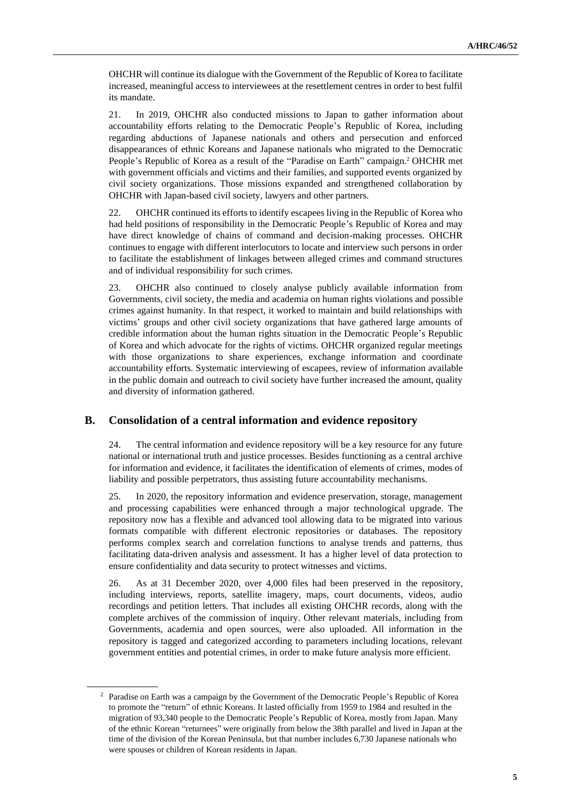OHCHR will continue its dialogue with the Government of the Republic of Korea to facilitate increased, meaningful access to interviewees at the resettlement centres in order to best fulfil its mandate.

21. In 2019, OHCHR also conducted missions to Japan to gather information about accountability efforts relating to the Democratic People's Republic of Korea, including regarding abductions of Japanese nationals and others and persecution and enforced disappearances of ethnic Koreans and Japanese nationals who migrated to the Democratic People's Republic of Korea as a result of the "Paradise on Earth" campaign.<sup>2</sup> OHCHR met with government officials and victims and their families, and supported events organized by civil society organizations. Those missions expanded and strengthened collaboration by OHCHR with Japan-based civil society, lawyers and other partners.

22. OHCHR continued its efforts to identify escapees living in the Republic of Korea who had held positions of responsibility in the Democratic People's Republic of Korea and may have direct knowledge of chains of command and decision-making processes. OHCHR continues to engage with different interlocutors to locate and interview such persons in order to facilitate the establishment of linkages between alleged crimes and command structures and of individual responsibility for such crimes.

23. OHCHR also continued to closely analyse publicly available information from Governments, civil society, the media and academia on human rights violations and possible crimes against humanity. In that respect, it worked to maintain and build relationships with victims' groups and other civil society organizations that have gathered large amounts of credible information about the human rights situation in the Democratic People's Republic of Korea and which advocate for the rights of victims. OHCHR organized regular meetings with those organizations to share experiences, exchange information and coordinate accountability efforts. Systematic interviewing of escapees, review of information available in the public domain and outreach to civil society have further increased the amount, quality and diversity of information gathered.

### **B. Consolidation of a central information and evidence repository**

24. The central information and evidence repository will be a key resource for any future national or international truth and justice processes. Besides functioning as a central archive for information and evidence, it facilitates the identification of elements of crimes, modes of liability and possible perpetrators, thus assisting future accountability mechanisms.

25. In 2020, the repository information and evidence preservation, storage, management and processing capabilities were enhanced through a major technological upgrade. The repository now has a flexible and advanced tool allowing data to be migrated into various formats compatible with different electronic repositories or databases. The repository performs complex search and correlation functions to analyse trends and patterns, thus facilitating data-driven analysis and assessment. It has a higher level of data protection to ensure confidentiality and data security to protect witnesses and victims.

26. As at 31 December 2020, over 4,000 files had been preserved in the repository, including interviews, reports, satellite imagery, maps, court documents, videos, audio recordings and petition letters. That includes all existing OHCHR records, along with the complete archives of the commission of inquiry. Other relevant materials, including from Governments, academia and open sources, were also uploaded. All information in the repository is tagged and categorized according to parameters including locations, relevant government entities and potential crimes, in order to make future analysis more efficient.

<sup>2</sup> Paradise on Earth was a campaign by the Government of the Democratic People's Republic of Korea to promote the "return" of ethnic Koreans. It lasted officially from 1959 to 1984 and resulted in the migration of 93,340 people to the Democratic People's Republic of Korea, mostly from Japan. Many of the ethnic Korean "returnees" were originally from below the 38th parallel and lived in Japan at the time of the division of the Korean Peninsula, but that number includes 6,730 Japanese nationals who were spouses or children of Korean residents in Japan.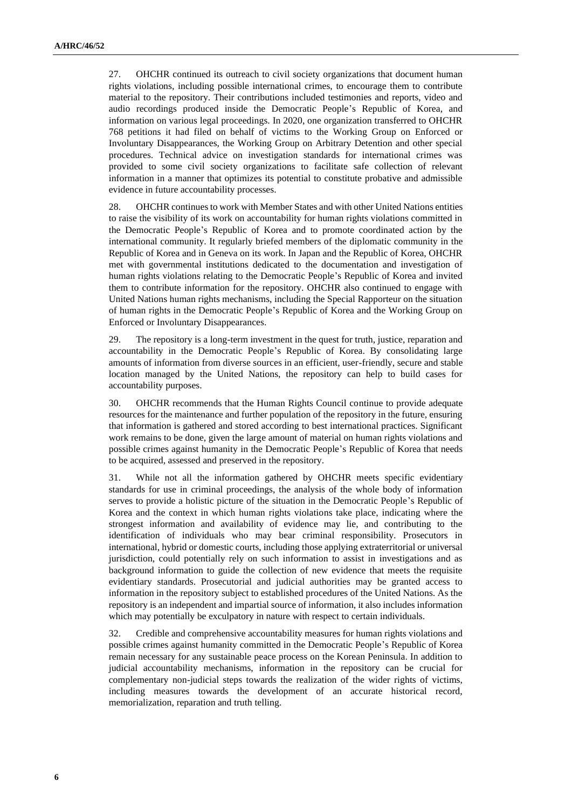27. OHCHR continued its outreach to civil society organizations that document human rights violations, including possible international crimes, to encourage them to contribute material to the repository. Their contributions included testimonies and reports, video and audio recordings produced inside the Democratic People's Republic of Korea, and information on various legal proceedings. In 2020, one organization transferred to OHCHR 768 petitions it had filed on behalf of victims to the Working Group on Enforced or Involuntary Disappearances, the Working Group on Arbitrary Detention and other special procedures. Technical advice on investigation standards for international crimes was provided to some civil society organizations to facilitate safe collection of relevant information in a manner that optimizes its potential to constitute probative and admissible evidence in future accountability processes.

28. OHCHR continues to work with Member States and with other United Nations entities to raise the visibility of its work on accountability for human rights violations committed in the Democratic People's Republic of Korea and to promote coordinated action by the international community. It regularly briefed members of the diplomatic community in the Republic of Korea and in Geneva on its work. In Japan and the Republic of Korea, OHCHR met with governmental institutions dedicated to the documentation and investigation of human rights violations relating to the Democratic People's Republic of Korea and invited them to contribute information for the repository. OHCHR also continued to engage with United Nations human rights mechanisms, including the Special Rapporteur on the situation of human rights in the Democratic People's Republic of Korea and the Working Group on Enforced or Involuntary Disappearances.

29. The repository is a long-term investment in the quest for truth, justice, reparation and accountability in the Democratic People's Republic of Korea. By consolidating large amounts of information from diverse sources in an efficient, user-friendly, secure and stable location managed by the United Nations, the repository can help to build cases for accountability purposes.

30. OHCHR recommends that the Human Rights Council continue to provide adequate resources for the maintenance and further population of the repository in the future, ensuring that information is gathered and stored according to best international practices. Significant work remains to be done, given the large amount of material on human rights violations and possible crimes against humanity in the Democratic People's Republic of Korea that needs to be acquired, assessed and preserved in the repository.

31. While not all the information gathered by OHCHR meets specific evidentiary standards for use in criminal proceedings, the analysis of the whole body of information serves to provide a holistic picture of the situation in the Democratic People's Republic of Korea and the context in which human rights violations take place, indicating where the strongest information and availability of evidence may lie, and contributing to the identification of individuals who may bear criminal responsibility. Prosecutors in international, hybrid or domestic courts, including those applying extraterritorial or universal jurisdiction, could potentially rely on such information to assist in investigations and as background information to guide the collection of new evidence that meets the requisite evidentiary standards. Prosecutorial and judicial authorities may be granted access to information in the repository subject to established procedures of the United Nations. As the repository is an independent and impartial source of information, it also includes information which may potentially be exculpatory in nature with respect to certain individuals.

32. Credible and comprehensive accountability measures for human rights violations and possible crimes against humanity committed in the Democratic People's Republic of Korea remain necessary for any sustainable peace process on the Korean Peninsula. In addition to judicial accountability mechanisms, information in the repository can be crucial for complementary non-judicial steps towards the realization of the wider rights of victims, including measures towards the development of an accurate historical record, memorialization, reparation and truth telling.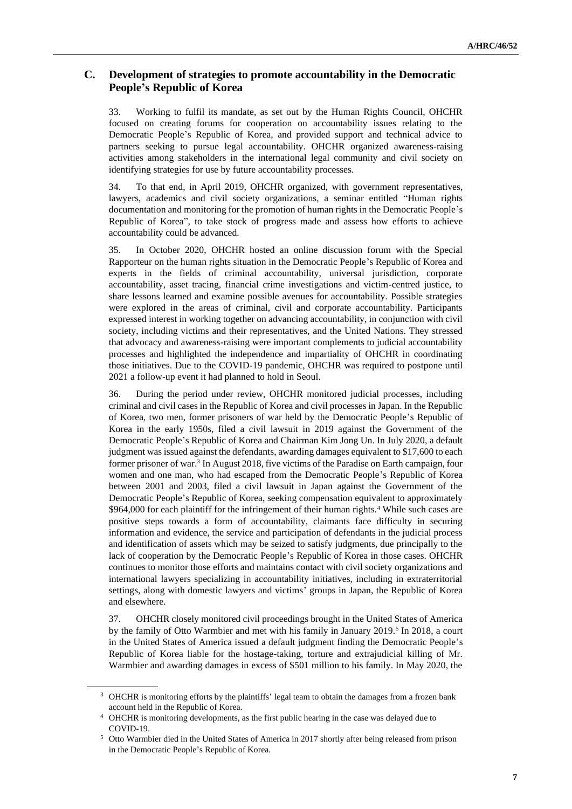### **C. Development of strategies to promote accountability in the Democratic People's Republic of Korea**

33. Working to fulfil its mandate, as set out by the Human Rights Council, OHCHR focused on creating forums for cooperation on accountability issues relating to the Democratic People's Republic of Korea, and provided support and technical advice to partners seeking to pursue legal accountability. OHCHR organized awareness-raising activities among stakeholders in the international legal community and civil society on identifying strategies for use by future accountability processes.

34. To that end, in April 2019, OHCHR organized, with government representatives, lawyers, academics and civil society organizations, a seminar entitled "Human rights documentation and monitoring for the promotion of human rights in the Democratic People's Republic of Korea", to take stock of progress made and assess how efforts to achieve accountability could be advanced.

35. In October 2020, OHCHR hosted an online discussion forum with the Special Rapporteur on the human rights situation in the Democratic People's Republic of Korea and experts in the fields of criminal accountability, universal jurisdiction, corporate accountability, asset tracing, financial crime investigations and victim-centred justice, to share lessons learned and examine possible avenues for accountability. Possible strategies were explored in the areas of criminal, civil and corporate accountability. Participants expressed interest in working together on advancing accountability, in conjunction with civil society, including victims and their representatives, and the United Nations. They stressed that advocacy and awareness-raising were important complements to judicial accountability processes and highlighted the independence and impartiality of OHCHR in coordinating those initiatives. Due to the COVID-19 pandemic, OHCHR was required to postpone until 2021 a follow-up event it had planned to hold in Seoul.

36. During the period under review, OHCHR monitored judicial processes, including criminal and civil cases in the Republic of Korea and civil processes in Japan. In the Republic of Korea, two men, former prisoners of war held by the Democratic People's Republic of Korea in the early 1950s, filed a civil lawsuit in 2019 against the Government of the Democratic People's Republic of Korea and Chairman Kim Jong Un. In July 2020, a default judgment was issued against the defendants, awarding damages equivalent to \$17,600 to each former prisoner of war.<sup>3</sup> In August 2018, five victims of the Paradise on Earth campaign, four women and one man, who had escaped from the Democratic People's Republic of Korea between 2001 and 2003, filed a civil lawsuit in Japan against the Government of the Democratic People's Republic of Korea, seeking compensation equivalent to approximately \$964,000 for each plaintiff for the infringement of their human rights.<sup>4</sup> While such cases are positive steps towards a form of accountability, claimants face difficulty in securing information and evidence, the service and participation of defendants in the judicial process and identification of assets which may be seized to satisfy judgments, due principally to the lack of cooperation by the Democratic People's Republic of Korea in those cases. OHCHR continues to monitor those efforts and maintains contact with civil society organizations and international lawyers specializing in accountability initiatives, including in extraterritorial settings, along with domestic lawyers and victims' groups in Japan, the Republic of Korea and elsewhere.

37. OHCHR closely monitored civil proceedings brought in the United States of America by the family of Otto Warmbier and met with his family in January 2019.<sup>5</sup> In 2018, a court in the United States of America issued a default judgment finding the Democratic People's Republic of Korea liable for the hostage-taking, torture and extrajudicial killing of Mr. Warmbier and awarding damages in excess of \$501 million to his family. In May 2020, the

<sup>&</sup>lt;sup>3</sup> OHCHR is monitoring efforts by the plaintiffs' legal team to obtain the damages from a frozen bank account held in the Republic of Korea.

<sup>4</sup> OHCHR is monitoring developments, as the first public hearing in the case was delayed due to COVID-19.

<sup>5</sup> Otto Warmbier died in the United States of America in 2017 shortly after being released from prison in the Democratic People's Republic of Korea.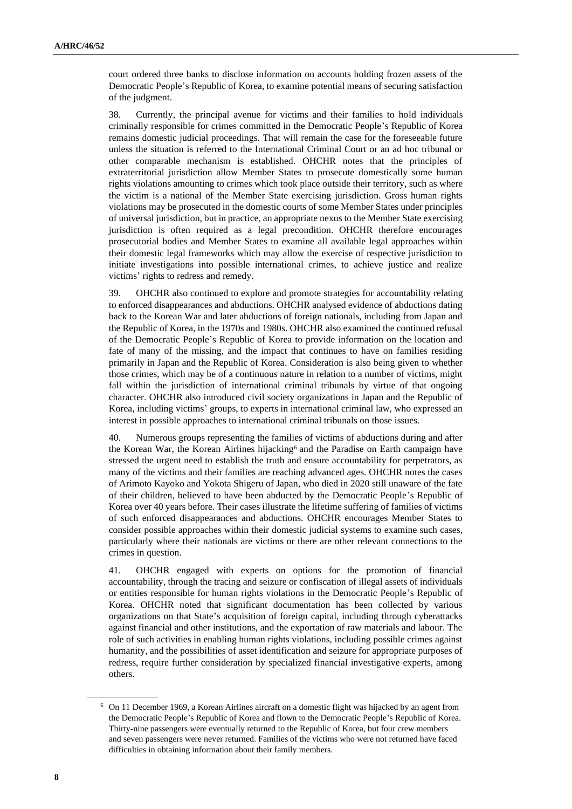court ordered three banks to disclose information on accounts holding frozen assets of the Democratic People's Republic of Korea, to examine potential means of securing satisfaction of the judgment.

38. Currently, the principal avenue for victims and their families to hold individuals criminally responsible for crimes committed in the Democratic People's Republic of Korea remains domestic judicial proceedings. That will remain the case for the foreseeable future unless the situation is referred to the International Criminal Court or an ad hoc tribunal or other comparable mechanism is established. OHCHR notes that the principles of extraterritorial jurisdiction allow Member States to prosecute domestically some human rights violations amounting to crimes which took place outside their territory, such as where the victim is a national of the Member State exercising jurisdiction. Gross human rights violations may be prosecuted in the domestic courts of some Member States under principles of universal jurisdiction, but in practice, an appropriate nexus to the Member State exercising jurisdiction is often required as a legal precondition. OHCHR therefore encourages prosecutorial bodies and Member States to examine all available legal approaches within their domestic legal frameworks which may allow the exercise of respective jurisdiction to initiate investigations into possible international crimes, to achieve justice and realize victims' rights to redress and remedy.

39. OHCHR also continued to explore and promote strategies for accountability relating to enforced disappearances and abductions. OHCHR analysed evidence of abductions dating back to the Korean War and later abductions of foreign nationals, including from Japan and the Republic of Korea, in the 1970s and 1980s. OHCHR also examined the continued refusal of the Democratic People's Republic of Korea to provide information on the location and fate of many of the missing, and the impact that continues to have on families residing primarily in Japan and the Republic of Korea. Consideration is also being given to whether those crimes, which may be of a continuous nature in relation to a number of victims, might fall within the jurisdiction of international criminal tribunals by virtue of that ongoing character. OHCHR also introduced civil society organizations in Japan and the Republic of Korea, including victims' groups, to experts in international criminal law, who expressed an interest in possible approaches to international criminal tribunals on those issues.

40. Numerous groups representing the families of victims of abductions during and after the Korean War, the Korean Airlines hijacking<sup>6</sup> and the Paradise on Earth campaign have stressed the urgent need to establish the truth and ensure accountability for perpetrators, as many of the victims and their families are reaching advanced ages. OHCHR notes the cases of Arimoto Kayoko and Yokota Shigeru of Japan, who died in 2020 still unaware of the fate of their children, believed to have been abducted by the Democratic People's Republic of Korea over 40 years before. Their cases illustrate the lifetime suffering of families of victims of such enforced disappearances and abductions. OHCHR encourages Member States to consider possible approaches within their domestic judicial systems to examine such cases, particularly where their nationals are victims or there are other relevant connections to the crimes in question.

41. OHCHR engaged with experts on options for the promotion of financial accountability, through the tracing and seizure or confiscation of illegal assets of individuals or entities responsible for human rights violations in the Democratic People's Republic of Korea. OHCHR noted that significant documentation has been collected by various organizations on that State's acquisition of foreign capital, including through cyberattacks against financial and other institutions, and the exportation of raw materials and labour. The role of such activities in enabling human rights violations, including possible crimes against humanity, and the possibilities of asset identification and seizure for appropriate purposes of redress, require further consideration by specialized financial investigative experts, among others.

<sup>6</sup> On 11 December 1969, a Korean Airlines aircraft on a domestic flight was hijacked by an agent from the Democratic People's Republic of Korea and flown to the Democratic People's Republic of Korea. Thirty-nine passengers were eventually returned to the Republic of Korea, but four crew members and seven passengers were never returned. Families of the victims who were not returned have faced difficulties in obtaining information about their family members.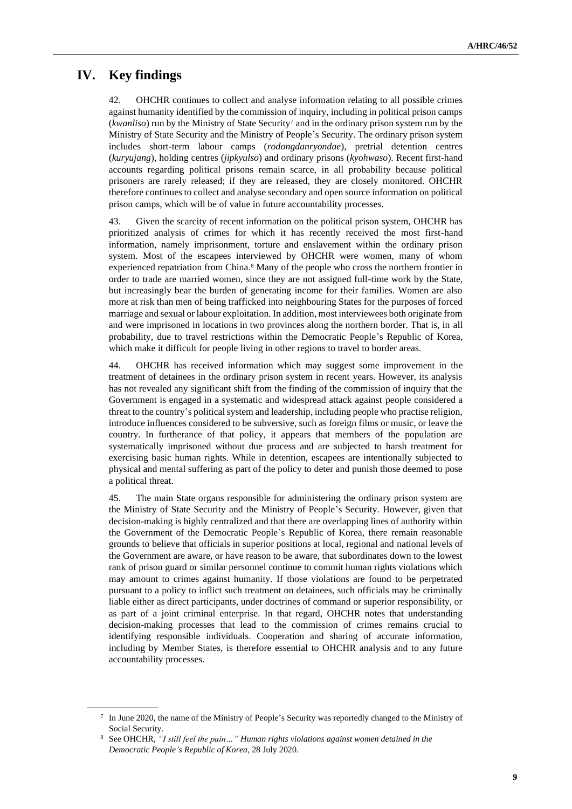# **IV. Key findings**

42. OHCHR continues to collect and analyse information relating to all possible crimes against humanity identified by the commission of inquiry, including in political prison camps (*kwanliso*) run by the Ministry of State Security<sup>7</sup> and in the ordinary prison system run by the Ministry of State Security and the Ministry of People's Security. The ordinary prison system includes short-term labour camps (*rodongdanryondae*), pretrial detention centres (*kuryujang*), holding centres (*jipkyulso*) and ordinary prisons (*kyohwaso*). Recent first-hand accounts regarding political prisons remain scarce, in all probability because political prisoners are rarely released; if they are released, they are closely monitored. OHCHR therefore continues to collect and analyse secondary and open source information on political prison camps, which will be of value in future accountability processes.

43. Given the scarcity of recent information on the political prison system, OHCHR has prioritized analysis of crimes for which it has recently received the most first-hand information, namely imprisonment, torture and enslavement within the ordinary prison system. Most of the escapees interviewed by OHCHR were women, many of whom experienced repatriation from China.<sup>8</sup> Many of the people who cross the northern frontier in order to trade are married women, since they are not assigned full-time work by the State, but increasingly bear the burden of generating income for their families. Women are also more at risk than men of being trafficked into neighbouring States for the purposes of forced marriage and sexual or labour exploitation. In addition, most interviewees both originate from and were imprisoned in locations in two provinces along the northern border. That is, in all probability, due to travel restrictions within the Democratic People's Republic of Korea, which make it difficult for people living in other regions to travel to border areas.

44. OHCHR has received information which may suggest some improvement in the treatment of detainees in the ordinary prison system in recent years. However, its analysis has not revealed any significant shift from the finding of the commission of inquiry that the Government is engaged in a systematic and widespread attack against people considered a threat to the country's political system and leadership, including people who practise religion, introduce influences considered to be subversive, such as foreign films or music, or leave the country. In furtherance of that policy, it appears that members of the population are systematically imprisoned without due process and are subjected to harsh treatment for exercising basic human rights. While in detention, escapees are intentionally subjected to physical and mental suffering as part of the policy to deter and punish those deemed to pose a political threat.

45. The main State organs responsible for administering the ordinary prison system are the Ministry of State Security and the Ministry of People's Security. However, given that decision-making is highly centralized and that there are overlapping lines of authority within the Government of the Democratic People's Republic of Korea, there remain reasonable grounds to believe that officials in superior positions at local, regional and national levels of the Government are aware, or have reason to be aware, that subordinates down to the lowest rank of prison guard or similar personnel continue to commit human rights violations which may amount to crimes against humanity. If those violations are found to be perpetrated pursuant to a policy to inflict such treatment on detainees, such officials may be criminally liable either as direct participants, under doctrines of command or superior responsibility, or as part of a joint criminal enterprise. In that regard, OHCHR notes that understanding decision-making processes that lead to the commission of crimes remains crucial to identifying responsible individuals. Cooperation and sharing of accurate information, including by Member States, is therefore essential to OHCHR analysis and to any future accountability processes.

<sup>7</sup> In June 2020, the name of the Ministry of People's Security was reportedly changed to the Ministry of Social Security.

<sup>8</sup> See OHCHR, *"I still feel the pain…" Human rights violations against women detained in the Democratic People's Republic of Korea*, 28 July 2020.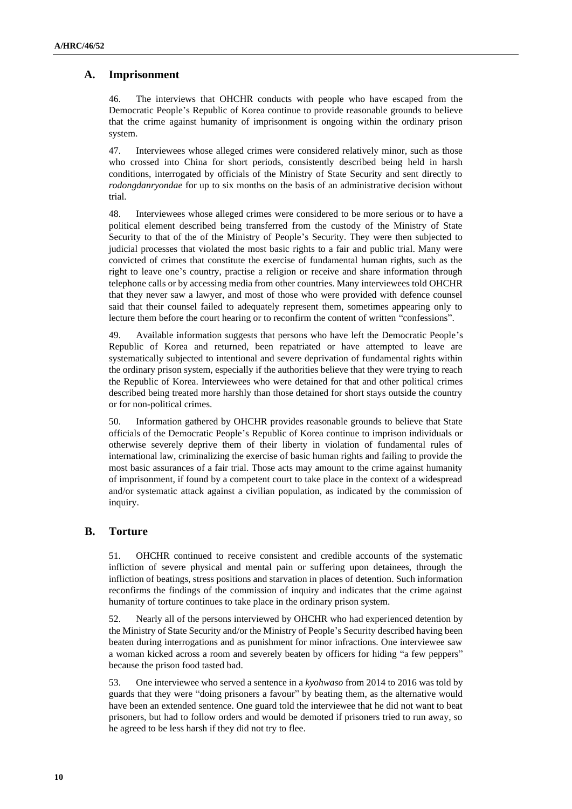#### **A. Imprisonment**

46. The interviews that OHCHR conducts with people who have escaped from the Democratic People's Republic of Korea continue to provide reasonable grounds to believe that the crime against humanity of imprisonment is ongoing within the ordinary prison system.

47. Interviewees whose alleged crimes were considered relatively minor, such as those who crossed into China for short periods, consistently described being held in harsh conditions, interrogated by officials of the Ministry of State Security and sent directly to *rodongdanryondae* for up to six months on the basis of an administrative decision without trial.

48. Interviewees whose alleged crimes were considered to be more serious or to have a political element described being transferred from the custody of the Ministry of State Security to that of the of the Ministry of People's Security. They were then subjected to judicial processes that violated the most basic rights to a fair and public trial. Many were convicted of crimes that constitute the exercise of fundamental human rights, such as the right to leave one's country, practise a religion or receive and share information through telephone calls or by accessing media from other countries. Many interviewees told OHCHR that they never saw a lawyer, and most of those who were provided with defence counsel said that their counsel failed to adequately represent them, sometimes appearing only to lecture them before the court hearing or to reconfirm the content of written "confessions".

49. Available information suggests that persons who have left the Democratic People's Republic of Korea and returned, been repatriated or have attempted to leave are systematically subjected to intentional and severe deprivation of fundamental rights within the ordinary prison system, especially if the authorities believe that they were trying to reach the Republic of Korea. Interviewees who were detained for that and other political crimes described being treated more harshly than those detained for short stays outside the country or for non-political crimes.

50. Information gathered by OHCHR provides reasonable grounds to believe that State officials of the Democratic People's Republic of Korea continue to imprison individuals or otherwise severely deprive them of their liberty in violation of fundamental rules of international law, criminalizing the exercise of basic human rights and failing to provide the most basic assurances of a fair trial. Those acts may amount to the crime against humanity of imprisonment, if found by a competent court to take place in the context of a widespread and/or systematic attack against a civilian population, as indicated by the commission of inquiry.

#### **B. Torture**

51. OHCHR continued to receive consistent and credible accounts of the systematic infliction of severe physical and mental pain or suffering upon detainees, through the infliction of beatings, stress positions and starvation in places of detention. Such information reconfirms the findings of the commission of inquiry and indicates that the crime against humanity of torture continues to take place in the ordinary prison system.

52. Nearly all of the persons interviewed by OHCHR who had experienced detention by the Ministry of State Security and/or the Ministry of People's Security described having been beaten during interrogations and as punishment for minor infractions. One interviewee saw a woman kicked across a room and severely beaten by officers for hiding "a few peppers" because the prison food tasted bad.

53. One interviewee who served a sentence in a *kyohwaso* from 2014 to 2016 was told by guards that they were "doing prisoners a favour" by beating them, as the alternative would have been an extended sentence. One guard told the interviewee that he did not want to beat prisoners, but had to follow orders and would be demoted if prisoners tried to run away, so he agreed to be less harsh if they did not try to flee.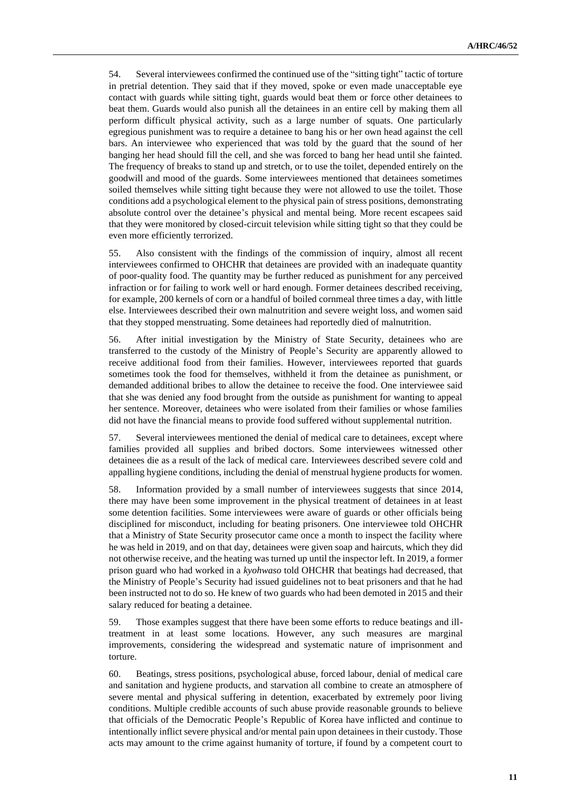54. Several interviewees confirmed the continued use of the "sitting tight" tactic of torture in pretrial detention. They said that if they moved, spoke or even made unacceptable eye contact with guards while sitting tight, guards would beat them or force other detainees to beat them. Guards would also punish all the detainees in an entire cell by making them all perform difficult physical activity, such as a large number of squats. One particularly egregious punishment was to require a detainee to bang his or her own head against the cell bars. An interviewee who experienced that was told by the guard that the sound of her banging her head should fill the cell, and she was forced to bang her head until she fainted. The frequency of breaks to stand up and stretch, or to use the toilet, depended entirely on the goodwill and mood of the guards. Some interviewees mentioned that detainees sometimes soiled themselves while sitting tight because they were not allowed to use the toilet. Those conditions add a psychological element to the physical pain of stress positions, demonstrating absolute control over the detainee's physical and mental being. More recent escapees said that they were monitored by closed-circuit television while sitting tight so that they could be even more efficiently terrorized.

55. Also consistent with the findings of the commission of inquiry, almost all recent interviewees confirmed to OHCHR that detainees are provided with an inadequate quantity of poor-quality food. The quantity may be further reduced as punishment for any perceived infraction or for failing to work well or hard enough. Former detainees described receiving, for example, 200 kernels of corn or a handful of boiled cornmeal three times a day, with little else. Interviewees described their own malnutrition and severe weight loss, and women said that they stopped menstruating. Some detainees had reportedly died of malnutrition.

56. After initial investigation by the Ministry of State Security, detainees who are transferred to the custody of the Ministry of People's Security are apparently allowed to receive additional food from their families. However, interviewees reported that guards sometimes took the food for themselves, withheld it from the detainee as punishment, or demanded additional bribes to allow the detainee to receive the food. One interviewee said that she was denied any food brought from the outside as punishment for wanting to appeal her sentence. Moreover, detainees who were isolated from their families or whose families did not have the financial means to provide food suffered without supplemental nutrition.

57. Several interviewees mentioned the denial of medical care to detainees, except where families provided all supplies and bribed doctors. Some interviewees witnessed other detainees die as a result of the lack of medical care. Interviewees described severe cold and appalling hygiene conditions, including the denial of menstrual hygiene products for women.

58. Information provided by a small number of interviewees suggests that since 2014, there may have been some improvement in the physical treatment of detainees in at least some detention facilities. Some interviewees were aware of guards or other officials being disciplined for misconduct, including for beating prisoners. One interviewee told OHCHR that a Ministry of State Security prosecutor came once a month to inspect the facility where he was held in 2019, and on that day, detainees were given soap and haircuts, which they did not otherwise receive, and the heating was turned up until the inspector left. In 2019, a former prison guard who had worked in a *kyohwaso* told OHCHR that beatings had decreased, that the Ministry of People's Security had issued guidelines not to beat prisoners and that he had been instructed not to do so. He knew of two guards who had been demoted in 2015 and their salary reduced for beating a detainee.

59. Those examples suggest that there have been some efforts to reduce beatings and illtreatment in at least some locations. However, any such measures are marginal improvements, considering the widespread and systematic nature of imprisonment and torture.

60. Beatings, stress positions, psychological abuse, forced labour, denial of medical care and sanitation and hygiene products, and starvation all combine to create an atmosphere of severe mental and physical suffering in detention, exacerbated by extremely poor living conditions. Multiple credible accounts of such abuse provide reasonable grounds to believe that officials of the Democratic People's Republic of Korea have inflicted and continue to intentionally inflict severe physical and/or mental pain upon detainees in their custody. Those acts may amount to the crime against humanity of torture, if found by a competent court to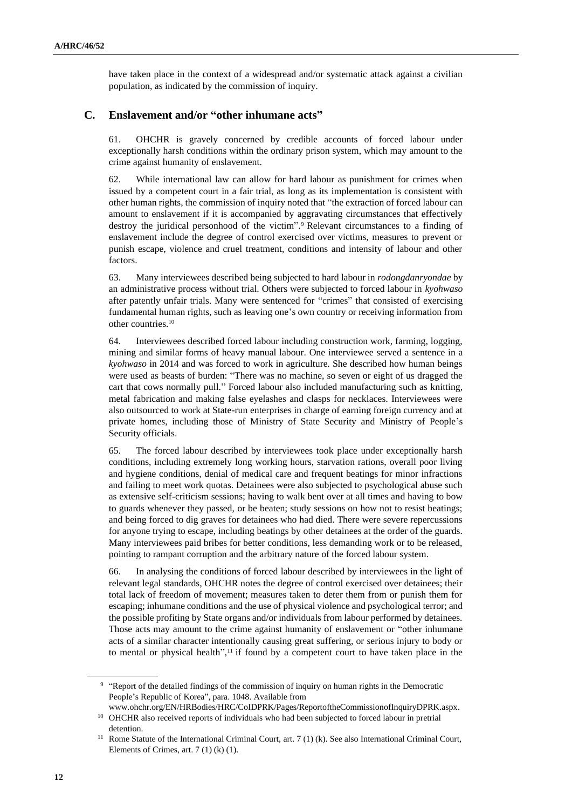have taken place in the context of a widespread and/or systematic attack against a civilian population, as indicated by the commission of inquiry.

#### **C. Enslavement and/or "other inhumane acts"**

61. OHCHR is gravely concerned by credible accounts of forced labour under exceptionally harsh conditions within the ordinary prison system, which may amount to the crime against humanity of enslavement.

62. While international law can allow for hard labour as punishment for crimes when issued by a competent court in a fair trial, as long as its implementation is consistent with other human rights, the commission of inquiry noted that "the extraction of forced labour can amount to enslavement if it is accompanied by aggravating circumstances that effectively destroy the juridical personhood of the victim". <sup>9</sup> Relevant circumstances to a finding of enslavement include the degree of control exercised over victims, measures to prevent or punish escape, violence and cruel treatment, conditions and intensity of labour and other factors.

63. Many interviewees described being subjected to hard labour in *rodongdanryondae* by an administrative process without trial. Others were subjected to forced labour in *kyohwaso* after patently unfair trials. Many were sentenced for "crimes" that consisted of exercising fundamental human rights, such as leaving one's own country or receiving information from other countries.<sup>10</sup>

64. Interviewees described forced labour including construction work, farming, logging, mining and similar forms of heavy manual labour. One interviewee served a sentence in a *kyohwaso* in 2014 and was forced to work in agriculture. She described how human beings were used as beasts of burden: "There was no machine, so seven or eight of us dragged the cart that cows normally pull." Forced labour also included manufacturing such as knitting, metal fabrication and making false eyelashes and clasps for necklaces. Interviewees were also outsourced to work at State-run enterprises in charge of earning foreign currency and at private homes, including those of Ministry of State Security and Ministry of People's Security officials.

65. The forced labour described by interviewees took place under exceptionally harsh conditions, including extremely long working hours, starvation rations, overall poor living and hygiene conditions, denial of medical care and frequent beatings for minor infractions and failing to meet work quotas. Detainees were also subjected to psychological abuse such as extensive self-criticism sessions; having to walk bent over at all times and having to bow to guards whenever they passed, or be beaten; study sessions on how not to resist beatings; and being forced to dig graves for detainees who had died. There were severe repercussions for anyone trying to escape, including beatings by other detainees at the order of the guards. Many interviewees paid bribes for better conditions, less demanding work or to be released, pointing to rampant corruption and the arbitrary nature of the forced labour system.

66. In analysing the conditions of forced labour described by interviewees in the light of relevant legal standards, OHCHR notes the degree of control exercised over detainees; their total lack of freedom of movement; measures taken to deter them from or punish them for escaping; inhumane conditions and the use of physical violence and psychological terror; and the possible profiting by State organs and/or individuals from labour performed by detainees. Those acts may amount to the crime against humanity of enslavement or "other inhumane acts of a similar character intentionally causing great suffering, or serious injury to body or to mental or physical health", <sup>11</sup> if found by a competent court to have taken place in the

<sup>&</sup>lt;sup>9</sup> "Report of the detailed findings of the commission of inquiry on human rights in the Democratic People's Republic of Korea", para. 1048. Available from

www.ohchr.org/EN/HRBodies/HRC/CoIDPRK/Pages/ReportoftheCommissionofInquiryDPRK.aspx. <sup>10</sup> OHCHR also received reports of individuals who had been subjected to forced labour in pretrial detention.

<sup>&</sup>lt;sup>11</sup> Rome Statute of the International Criminal Court, art. 7 (1) (k). See also International Criminal Court, Elements of Crimes, art. 7 (1) (k) (1).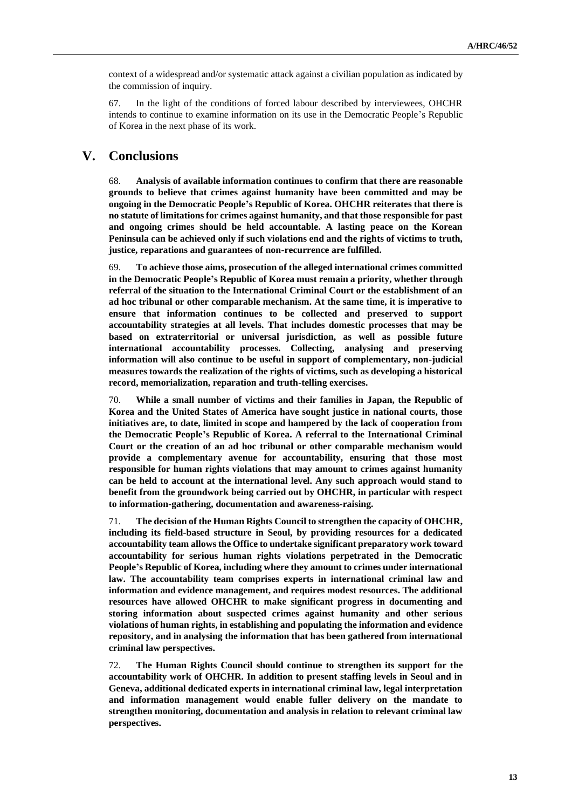context of a widespread and/or systematic attack against a civilian population as indicated by the commission of inquiry.

67. In the light of the conditions of forced labour described by interviewees, OHCHR intends to continue to examine information on its use in the Democratic People's Republic of Korea in the next phase of its work.

## **V. Conclusions**

68. **Analysis of available information continues to confirm that there are reasonable grounds to believe that crimes against humanity have been committed and may be ongoing in the Democratic People's Republic of Korea. OHCHR reiterates that there is no statute of limitations for crimes against humanity, and that those responsible for past and ongoing crimes should be held accountable. A lasting peace on the Korean Peninsula can be achieved only if such violations end and the rights of victims to truth, justice, reparations and guarantees of non-recurrence are fulfilled.**

69. **To achieve those aims, prosecution of the alleged international crimes committed in the Democratic People's Republic of Korea must remain a priority, whether through referral of the situation to the International Criminal Court or the establishment of an ad hoc tribunal or other comparable mechanism. At the same time, it is imperative to ensure that information continues to be collected and preserved to support accountability strategies at all levels. That includes domestic processes that may be based on extraterritorial or universal jurisdiction, as well as possible future international accountability processes. Collecting, analysing and preserving information will also continue to be useful in support of complementary, non-judicial measures towards the realization of the rights of victims, such as developing a historical record, memorialization, reparation and truth-telling exercises.**

70. **While a small number of victims and their families in Japan, the Republic of Korea and the United States of America have sought justice in national courts, those initiatives are, to date, limited in scope and hampered by the lack of cooperation from the Democratic People's Republic of Korea. A referral to the International Criminal Court or the creation of an ad hoc tribunal or other comparable mechanism would provide a complementary avenue for accountability, ensuring that those most responsible for human rights violations that may amount to crimes against humanity can be held to account at the international level. Any such approach would stand to benefit from the groundwork being carried out by OHCHR, in particular with respect to information-gathering, documentation and awareness-raising.**

71. **The decision of the Human Rights Council to strengthen the capacity of OHCHR, including its field-based structure in Seoul, by providing resources for a dedicated accountability team allows the Office to undertake significant preparatory work toward accountability for serious human rights violations perpetrated in the Democratic People's Republic of Korea, including where they amount to crimes under international law. The accountability team comprises experts in international criminal law and information and evidence management, and requires modest resources. The additional resources have allowed OHCHR to make significant progress in documenting and storing information about suspected crimes against humanity and other serious violations of human rights, in establishing and populating the information and evidence repository, and in analysing the information that has been gathered from international criminal law perspectives.**

72. **The Human Rights Council should continue to strengthen its support for the accountability work of OHCHR. In addition to present staffing levels in Seoul and in Geneva, additional dedicated experts in international criminal law, legal interpretation and information management would enable fuller delivery on the mandate to strengthen monitoring, documentation and analysis in relation to relevant criminal law perspectives.**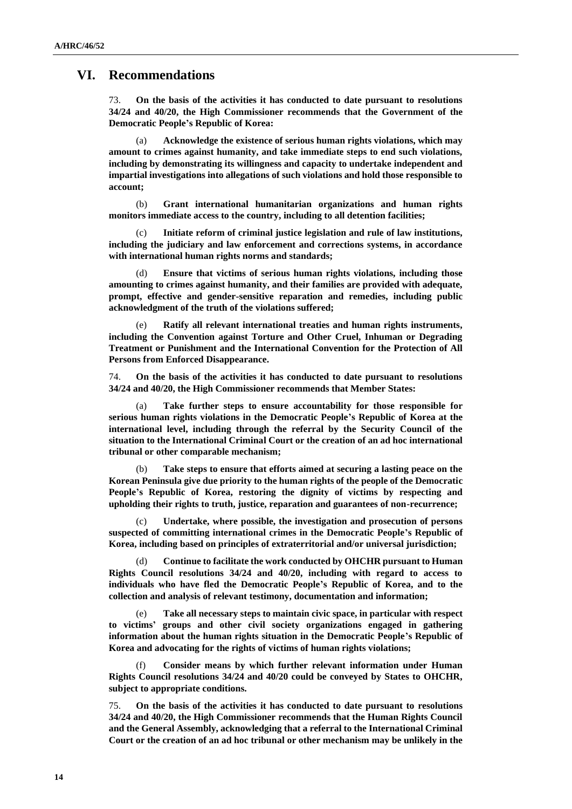## **VI. Recommendations**

73. **On the basis of the activities it has conducted to date pursuant to resolutions 34/24 and 40/20, the High Commissioner recommends that the Government of the Democratic People's Republic of Korea:**

(a) **Acknowledge the existence of serious human rights violations, which may amount to crimes against humanity, and take immediate steps to end such violations, including by demonstrating its willingness and capacity to undertake independent and impartial investigations into allegations of such violations and hold those responsible to account;**

(b) **Grant international humanitarian organizations and human rights monitors immediate access to the country, including to all detention facilities;**

(c) **Initiate reform of criminal justice legislation and rule of law institutions, including the judiciary and law enforcement and corrections systems, in accordance with international human rights norms and standards;**

(d) **Ensure that victims of serious human rights violations, including those amounting to crimes against humanity, and their families are provided with adequate, prompt, effective and gender-sensitive reparation and remedies, including public acknowledgment of the truth of the violations suffered;**

(e) **Ratify all relevant international treaties and human rights instruments, including the Convention against Torture and Other Cruel, Inhuman or Degrading Treatment or Punishment and the International Convention for the Protection of All Persons from Enforced Disappearance.**

74. **On the basis of the activities it has conducted to date pursuant to resolutions 34/24 and 40/20, the High Commissioner recommends that Member States:**

(a) **Take further steps to ensure accountability for those responsible for serious human rights violations in the Democratic People's Republic of Korea at the international level, including through the referral by the Security Council of the situation to the International Criminal Court or the creation of an ad hoc international tribunal or other comparable mechanism;**

(b) **Take steps to ensure that efforts aimed at securing a lasting peace on the Korean Peninsula give due priority to the human rights of the people of the Democratic People's Republic of Korea, restoring the dignity of victims by respecting and upholding their rights to truth, justice, reparation and guarantees of non-recurrence;**

(c) **Undertake, where possible, the investigation and prosecution of persons suspected of committing international crimes in the Democratic People's Republic of Korea, including based on principles of extraterritorial and/or universal jurisdiction;**

(d) **Continue to facilitate the work conducted by OHCHR pursuant to Human Rights Council resolutions 34/24 and 40/20, including with regard to access to individuals who have fled the Democratic People's Republic of Korea, and to the collection and analysis of relevant testimony, documentation and information;**

(e) **Take all necessary steps to maintain civic space, in particular with respect to victims' groups and other civil society organizations engaged in gathering information about the human rights situation in the Democratic People's Republic of Korea and advocating for the rights of victims of human rights violations;**

(f) **Consider means by which further relevant information under Human Rights Council resolutions 34/24 and 40/20 could be conveyed by States to OHCHR, subject to appropriate conditions.** 

75. **On the basis of the activities it has conducted to date pursuant to resolutions 34/24 and 40/20, the High Commissioner recommends that the Human Rights Council and the General Assembly, acknowledging that a referral to the International Criminal Court or the creation of an ad hoc tribunal or other mechanism may be unlikely in the**